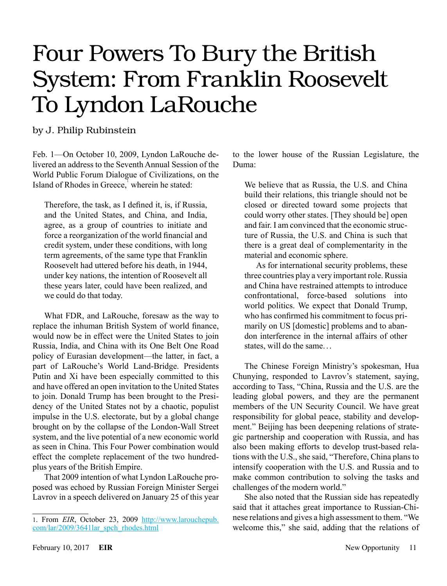# Four Powers To Bury the British System: From Franklin Roosevelt To Lyndon LaRouche

by J. Philip Rubinstein

Feb. 1—On October 10, 2009, Lyndon LaRouche delivered an address to the Seventh Annual Session of the World Public Forum Dialogue of Civilizations, on the Island of Rhodes in Greece, wherein he stated:

Therefore, the task, as I defined it, is, if Russia, and the United States, and China, and India, agree, as a group of countries to initiate and force a reorganization of the world financial and credit system, under these conditions, with long term agreements, of the same type that Franklin Roosevelt had uttered before his death, in 1944, under key nations, the intention of Roosevelt all these years later, could have been realized, and we could do that today.

What FDR, and LaRouche, foresaw as the way to replace the inhuman British System of world finance, would now be in effect were the United States to join Russia, India, and China with its One Belt One Road policy of Eurasian development—the latter, in fact, a part of LaRouche's World Land-Bridge. Presidents Putin and Xi have been especially committed to this and have offered an open invitation to the United States to join. Donald Trump has been brought to the Presidency of the United States not by a chaotic, populist impulse in the U.S. electorate, but by a global change brought on by the collapse of the London-Wall Street system, and the live potential of a new economic world as seen in China. This Four Power combination would effect the complete replacement of the two hundredplus years of the British Empire.

That 2009 intention of what Lyndon LaRouche proposed was echoed by Russian Foreign Minister Sergei Lavrov in a speech delivered on January 25 of this year to the lower house of the Russian Legislature, the Duma:

We believe that as Russia, the U.S. and China build their relations, this triangle should not be closed or directed toward some projects that could worry other states. [They should be] open and fair. I am convinced that the economic structure of Russia, the U.S. and China is such that there is a great deal of complementarity in the material and economic sphere.

As for international security problems, these three countries play a very important role. Russia and China have restrained attempts to introduce confrontational, force-based solutions into world politics. We expect that Donald Trump, who has confirmed his commitment to focus primarily on US [domestic] problems and to abandon interference in the internal affairs of other states, will do the same. ..

The Chinese Foreign Ministry's spokesman, Hua Chunying, responded to Lavrov's statement, saying, according to Tass, "China, Russia and the U.S. are the leading global powers, and they are the permanent members of the UN Security Council. We have great responsibility for global peace, stability and development." Beijing has been deepening relations of strategic partnership and cooperation with Russia, and has also been making efforts to develop trust-based relations with the U.S., she said, "Therefore, China plans to intensify cooperation with the U.S. and Russia and to make common contribution to solving the tasks and challenges of the modern world."

She also noted that the Russian side has repeatedly said that it attaches great importance to Russian-Chinese relations and gives a high assessment to them. "We welcome this," she said, adding that the relations of

<sup>1.</sup> From *EIR*, October 23, 2009 [http://www.larouchepub.](http://www.larouchepub.com/lar/2009/3641lar_spch_rhodes.html) [com/lar/2009/3641lar\\_spch\\_rhodes.html](http://www.larouchepub.com/lar/2009/3641lar_spch_rhodes.html)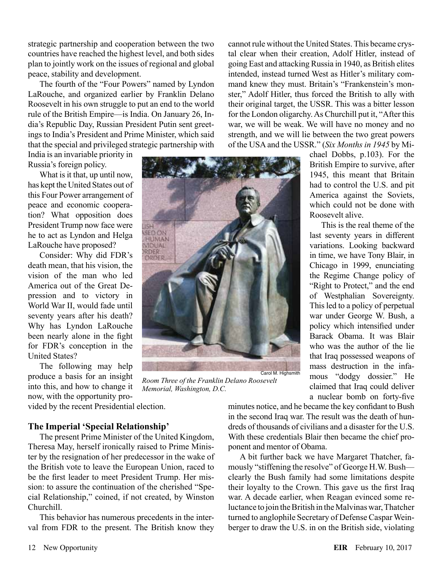strategic partnership and cooperation between the two countries have reached the highest level, and both sides plan to jointly work on the issues of regional and global peace, stability and development.

The fourth of the "Four Powers" named by Lyndon LaRouche, and organized earlier by Franklin Delano Roosevelt in his own struggle to put an end to the world rule of the British Empire—is India. On January 26, India's Republic Day, Russian President Putin sent greetings to India's President and Prime Minister, which said that the special and privileged strategic partnership with

India is an invariable priority in Russia's foreign policy.

What is it that, up until now, has kept the United States out of this Four Power arrangement of peace and economic cooperation? What opposition does President Trump now face were he to act as Lyndon and Helga LaRouche have proposed?

Consider: Why did FDR's death mean, that his vision, the vision of the man who led America out of the Great Depression and to victory in World War II, would fade until seventy years after his death? Why has Lyndon LaRouche been nearly alone in the fight for FDR's conception in the United States?

The following may help produce a basis for an insight into this, and how to change it now, with the opportunity pro-

vided by the recent Presidential election.

### **The Imperial 'Special Relationship'**

The present Prime Minister of the United Kingdom, Theresa May, herself ironically raised to Prime Minister by the resignation of her predecessor in the wake of the British vote to leave the European Union, raced to be the first leader to meet President Trump. Her mission: to assure the continuation of the cherished "Special Relationship," coined, if not created, by Winston Churchill.

This behavior has numerous precedents in the interval from FDR to the present. The British know they

cannot rule without the United States. This became crystal clear when their creation, Adolf Hitler, instead of going East and attacking Russia in 1940, as British elites intended, instead turned West as Hitler's military command knew they must. Britain's "Frankenstein's monster," Adolf Hitler, thus forced the British to ally with their original target, the USSR. This was a bitter lesson for the London oligarchy. As Churchill put it, "After this war, we will be weak. We will have no money and no strength, and we will lie between the two great powers of the USA and the USSR." (*Six Months in 1945* by Mi-

chael Dobbs, p.103). For the British Empire to survive, after 1945, this meant that Britain had to control the U.S. and pit America against the Soviets, which could not be done with Roosevelt alive.

This is the real theme of the last seventy years in different variations. Looking backward in time, we have Tony Blair, in Chicago in 1999, enunciating the Regime Change policy of "Right to Protect," and the end of Westphalian Sovereignty. This led to a policy of perpetual war under George W. Bush, a policy which intensified under Barack Obama. It was Blair who was the author of the lie that Iraq possessed weapons of mass destruction in the infamous "dodgy dossier." He claimed that Iraq could deliver a nuclear bomb on forty-five



*Room Three of the Franklin Delano Roosevelt Memorial, Washington, D.C.*

minutes notice, and he became the key confidant to Bush in the second Iraq war. The result was the death of hundreds of thousands of civilians and a disaster for the U.S. With these credentials Blair then became the chief proponent and mentor of Obama.

A bit further back we have Margaret Thatcher, famously "stiffening the resolve" of George H.W. Bush clearly the Bush family had some limitations despite their loyalty to the Crown. This gave us the first Iraq war. A decade earlier, when Reagan evinced some reluctance to join the British in the Malvinas war, Thatcher turned to anglophile Secretary of Defense Caspar Weinberger to draw the U.S. in on the British side, violating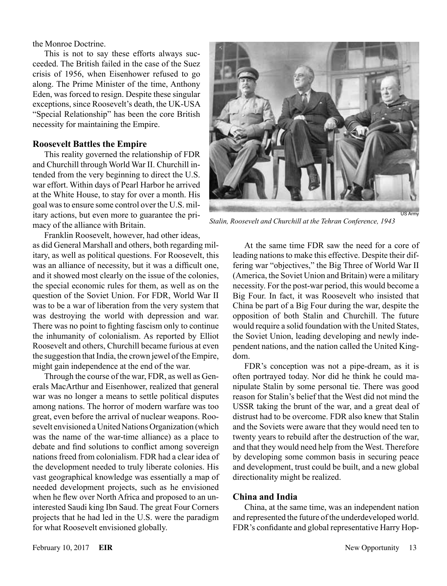the Monroe Doctrine.

This is not to say these efforts always succeeded. The British failed in the case of the Suez crisis of 1956, when Eisenhower refused to go along. The Prime Minister of the time, Anthony Eden, was forced to resign. Despite these singular exceptions, since Roosevelt's death, the UK-USA "Special Relationship" has been the core British necessity for maintaining the Empire.

#### **Roosevelt Battles the Empire**

This reality governed the relationship of FDR and Churchill through World War II. Churchill intended from the very beginning to direct the U.S. war effort. Within days of Pearl Harbor he arrived at the White House, to stay for over a month. His goal was to ensure some control over the U.S. military actions, but even more to guarantee the primacy of the alliance with Britain.

Franklin Roosevelt, however, had other ideas, as did General Marshall and others, both regarding military, as well as political questions. For Roosevelt, this was an alliance of necessity, but it was a difficult one, and it showed most clearly on the issue of the colonies, the special economic rules for them, as well as on the question of the Soviet Union. For FDR, World War II was to be a war of liberation from the very system that was destroying the world with depression and war. There was no point to fighting fascism only to continue the inhumanity of colonialism. As reported by Elliot Roosevelt and others, Churchill became furious at even the suggestion that India, the crown jewel of the Empire, might gain independence at the end of the war.

Through the course of the war, FDR, as well as Generals MacArthur and Eisenhower, realized that general war was no longer a means to settle political disputes among nations. The horror of modern warfare was too great, even before the arrival of nuclear weapons. Roosevelt envisioned a United Nations Organization (which was the name of the war-time alliance) as a place to debate and find solutions to conflict among sovereign nations freed from colonialism. FDR had a clear idea of the development needed to truly liberate colonies. His vast geographical knowledge was essentially a map of needed development projects, such as he envisioned when he flew over North Africa and proposed to an uninterested Saudi king Ibn Saud. The great Four Corners projects that he had led in the U.S. were the paradigm for what Roosevelt envisioned globally.



*Stalin, Roosevelt and Churchill at the Tehran Conference, 1943*

At the same time FDR saw the need for a core of leading nations to make this effective. Despite their differing war "objectives," the Big Three of World War II (America, the Soviet Union and Britain) were a military necessity. For the post-war period, this would become a Big Four. In fact, it was Roosevelt who insisted that China be part of a Big Four during the war, despite the opposition of both Stalin and Churchill. The future would require a solid foundation with the United States, the Soviet Union, leading developing and newly independent nations, and the nation called the United Kingdom.

FDR's conception was not a pipe-dream, as it is often portrayed today. Nor did he think he could manipulate Stalin by some personal tie. There was good reason for Stalin's belief that the West did not mind the USSR taking the brunt of the war, and a great deal of distrust had to be overcome. FDR also knew that Stalin and the Soviets were aware that they would need ten to twenty years to rebuild after the destruction of the war, and that they would need help from the West. Therefore by developing some common basis in securing peace and development, trust could be built, and a new global directionality might be realized.

#### **China and India**

China, at the same time, was an independent nation and represented the future of the underdeveloped world. FDR's confidante and global representative Harry Hop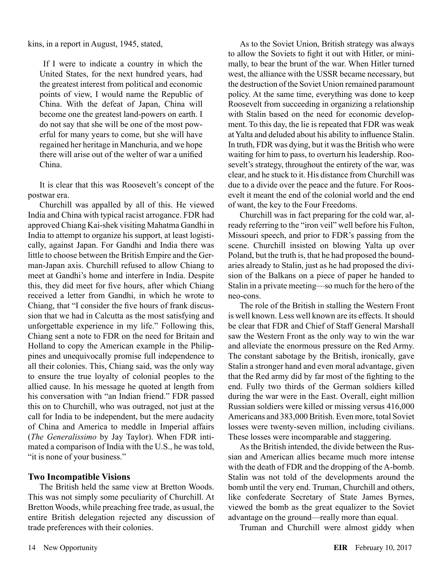kins, in a report in August, 1945, stated,

 If I were to indicate a country in which the United States, for the next hundred years, had the greatest interest from political and economic points of view, I would name the Republic of China. With the defeat of Japan, China will become one the greatest land-powers on earth. I do not say that she will be one of the most powerful for many years to come, but she will have regained her heritage in Manchuria, and we hope there will arise out of the welter of war a unified China.

It is clear that this was Roosevelt's concept of the postwar era.

Churchill was appalled by all of this. He viewed India and China with typical racist arrogance. FDR had approved Chiang Kai-shek visiting Mahatma Gandhi in India to attempt to organize his support, at least logistically, against Japan. For Gandhi and India there was little to choose between the British Empire and the German-Japan axis. Churchill refused to allow Chiang to meet at Gandhi's home and interfere in India. Despite this, they did meet for five hours, after which Chiang received a letter from Gandhi, in which he wrote to Chiang, that "I consider the five hours of frank discussion that we had in Calcutta as the most satisfying and unforgettable experience in my life." Following this, Chiang sent a note to FDR on the need for Britain and Holland to copy the American example in the Philippines and unequivocally promise full independence to all their colonies. This, Chiang said, was the only way to ensure the true loyalty of colonial peoples to the allied cause. In his message he quoted at length from his conversation with "an Indian friend." FDR passed this on to Churchill, who was outraged, not just at the call for India to be independent, but the mere audacity of China and America to meddle in Imperial affairs (*The Generalissimo* by Jay Taylor). When FDR intimated a comparison of India with the U.S., he was told, "it is none of your business."

## **Two Incompatible Visions**

The British held the same view at Bretton Woods. This was not simply some peculiarity of Churchill. At Bretton Woods, while preaching free trade, as usual, the entire British delegation rejected any discussion of trade preferences with their colonies.

As to the Soviet Union, British strategy was always to allow the Soviets to fight it out with Hitler, or minimally, to bear the brunt of the war. When Hitler turned west, the alliance with the USSR became necessary, but the destruction of the Soviet Union remained paramount policy. At the same time, everything was done to keep Roosevelt from succeeding in organizing a relationship with Stalin based on the need for economic development. To this day, the lie is repeated that FDR was weak at Yalta and deluded about his ability to influence Stalin. In truth, FDR was dying, but it was the British who were waiting for him to pass, to overturn his leadership. Roosevelt's strategy, throughout the entirety of the war, was clear, and he stuck to it. His distance from Churchill was due to a divide over the peace and the future. For Roosevelt it meant the end of the colonial world and the end of want, the key to the Four Freedoms.

Churchill was in fact preparing for the cold war, already referring to the "iron veil" well before his Fulton, Missouri speech, and prior to FDR's passing from the scene. Churchill insisted on blowing Yalta up over Poland, but the truth is, that he had proposed the boundaries already to Stalin, just as he had proposed the division of the Balkans on a piece of paper he handed to Stalin in a private meeting—so much for the hero of the neo-cons.

The role of the British in stalling the Western Front is well known. Less well known are its effects. It should be clear that FDR and Chief of Staff General Marshall saw the Western Front as the only way to win the war and alleviate the enormous pressure on the Red Army. The constant sabotage by the British, ironically, gave Stalin a stronger hand and even moral advantage, given that the Red army did by far most of the fighting to the end. Fully two thirds of the German soldiers killed during the war were in the East. Overall, eight million Russian soldiers were killed or missing versus 416,000 Americans and 383,000 British. Even more, total Soviet losses were twenty-seven million, including civilians. These losses were incomparable and staggering.

As the British intended, the divide between the Russian and American allies became much more intense with the death of FDR and the dropping of the A-bomb. Stalin was not told of the developments around the bomb until the very end. Truman, Churchill and others, like confederate Secretary of State James Byrnes, viewed the bomb as the great equalizer to the Soviet advantage on the ground—really more than equal.

Truman and Churchill were almost giddy when